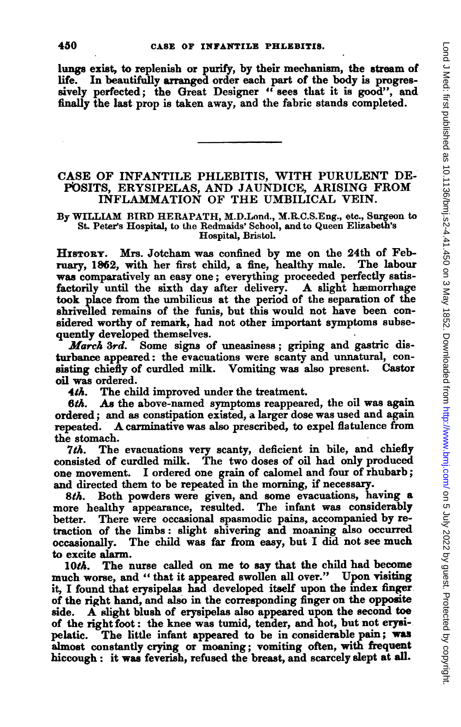lungs exist, to replenish or purify, by their mechanism, the stream of life. In beautifully arranged order each part of the body is progressively perfected; the Great Designer " sees that it is good", and finaly the last prop is taken away, and the fabric stands completed.

## CASE OF INFANTILE PHLEBITIS, WITH PURULENT DE. POSITS, ERYSIPELAS, AND JAUNDICE, ARISING FROM INFLAMMATION OF THE UMBILICAL VEIN.

## By WILLIAM BIRD HERAPATH, M.D.Lond., M.RC.S.Eng., etc., Surgeon to St. Peter's Hospital, to the Redmaids' School, and to Queen Elizabeth's Hospital, Bristol.

HIsTORY. Mrs. Jotcham was confined by me on the 24th of February, 1862, with her first child, a fine, healthy male. The labour was comparatively an easy one; everything proceeded perfectly satis-<br>factorily until the sixth day after delivery. A slight hæmorrhage factorily until the sixth day after delivery. took place from the umbilicus at the period of the separation of the shrivelled remains of the funis, but this would not have been considered worthy of remark, had not other important symptoms subsequently developed themselves.

*March* 3rd. Some signs of uneasiness; griping and gastric disturbance appeared: the evacuations were scanty and unnatural, consisting chiefly of curdled milk. Vomiting was also present. Castor oil was ordered.

**4th.** The child improved under the treatment.

&th. As the above-named symptoms reappeared, the oil was again ordered; and as constipation existed, a larger dose was used and again repeated. A carminative was also prescribed, to expel flatulence from the stomach.

7th. The evacuations very scanty, deficient in bile, and chiefly consisted of curdled milk. The two doses of oil had only produced one movement. <sup>I</sup> ordered one grain of calomel and four of rhubarb; and directed them to be repeated in the morning, if necessary.

8th. Both powders were given, and some evacuations, having a ore healthy appearance, resulted. The infant was considerably more healthy appearance, resulted. better. There were occasional spasmodic pains, accompanied by retraction of the limbs: slight shivering and moanig also occurred occasionally. The child was far from easy, but <sup>I</sup> did not see much to excite alarm.

10th. The nurse called on me to say that the child had become much worse, and " that it appeared swollen all over." Upon visiting it, I found that erysipelas had developed itself upon the index finger of the right hand, and also in the corresponding finger on the opposite side. A slight blush of erysipelas also appeared upon the second toe of the right foot: the knee was tumid, tender, and hot, but not erysi-<br>pelatic. The little infant appeared to be in considerable pain; was The little infant appeared to be in considerable pain; was almost constantly crying or moaning; vomiting often, with frequent hiccough: it was feverish, refused the breast, and scarcely slept at all.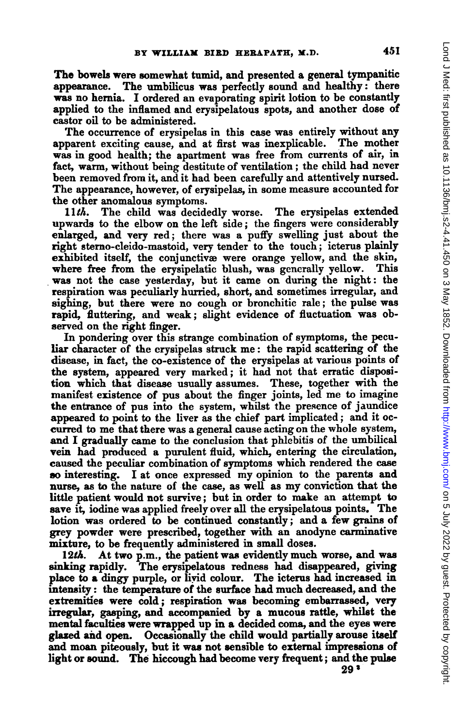The bowels were somewhat tumid, and presented a general tympanitic appearance. The umbilicus was perfectly sound and healthy: there was no hernia. <sup>I</sup> ordered an evaporating spirit lotion to be constantly applied to the inflamed and erysipelatous spots, and another dose of castor oil to be administered.

The occurrence of erysipelas in this case was entirely without any parent exciting cause, and at first was inexplicable. The mother apparent exciting cause, and at first was inexplicable. was in good health; the apartment was free from currents of air, in fact, warm, without being destitute of ventilation; the child had never been removed from it, and it had been carefully and attentively nursed. The appearance, however, of erysipelas, in some measure accounted for the other anomalous symptoms.

11th. The child was decidedly worse. The erysipelas extended upwards to the elbow on the left side; the fingers were considerably enlarged, and very red; there was a puffy swelling just about the right sterno-cleido-mastoid, very tender to the touch; icterus plainly exhibited itself, the conjunctiva were orange yellow, and the skin, where free from the erysipelatic blush, was generally yellow. This was not the case yesterday, but it came on during the night: the respiration was peculiarly hurried, short, and sometimes irregular, and sighing, but there were no cough or bronchitic rale; the pulse was rapid, fluttering, and weak; slight evidence of fluctuation was observed on the right finger.

In pondering over this strange combination of symptoms, the peculiar character of the erysipelas struck me: the rapid scattering of the disease, in fact, the co-existence of the erysipelas at various points of the system, appeared very marked; it had not that erratic disposition which that disease usually assumes. These, together with the manifest existence of pus about the finger joints, led me to imagine the entrance of pus into the system, whilst the presence of jaundice appeared to point to the liver as the chief part implicated; and it occurred to me that there was a general cause acting on the whole system, and I gradually came to the conclusion that phlebitis of the umbilical vein had produced a purulent fluid, which, entering the circulation, caused the peculiar combination of symptoms which rendered the case so interesting. <sup>I</sup> at once expressed my opinion to the parents and nurse, as to the nature of the case, as well as my conviction that the little patient would not survive; but in order to make an attempt to save it, iodine was applied freely over all the erysipelatous points. The lotion was ordered to be continued constantly; and a few grains of grey powder were prescribed, together with an anodyne aminative mixture, to be frequently administered in small doses.

12th. At two p.m., the patient was evidently much worse, and was sinking rapidly. The erysipelatous redness had disappeared, giving place to a dingy purple, or livid colour. The icterus had increased in intensity: the temperature of the surface had much decreased, and the extremities were cold; respiration was becoming embarrassed, very irregular, gasping, and accompanied by a mucous rattle, whilst themental faculties were wrapped up in a decided coma, and the eyes were glazed and open. Occasionally the child would partially arouse itself and moan piteously, but it was not sensible to external impressions of light or sound. The hiccough had become very frequent; and the pulse

29'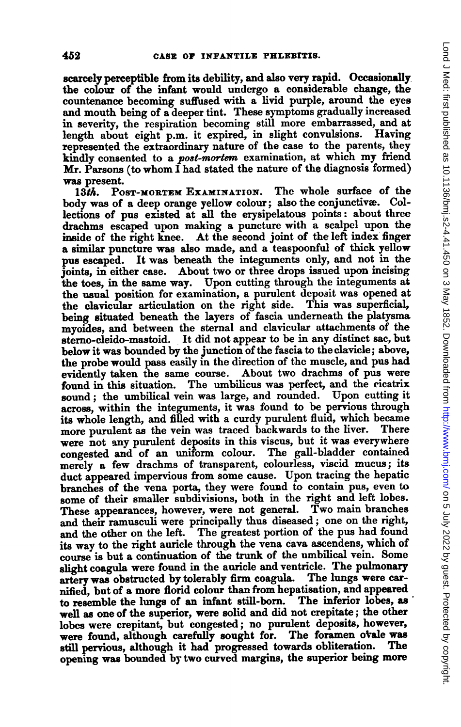scarcely perceptible from its debility, and also very rapid. Occasionally the colour of the infant would undergo a considerable change, the countenance becoming suffused with a livid purple, around the eyes and mouth being of a deeper tint. These symptoms gradually increased in severity, the respiration becoming still more embarrassed, and at length about eight p.m. it expired, in slight convulsions. Having represented the extraordinary nature of the case to the parents, they kindly consented to a *post-mortem* examination, at which my friend Mr. Parsons (to whom <sup>I</sup> had stated the nature of the diagnosis formed) was present.

13th. POST-MORTEM ExAMINATION. The whole surface of the body was of a deep orange yellow colour; also the conjunctivæ. Collections of pus existed at all the erysipelatous points: about three drachms escaped upon making a puncture with a scalpel upon the inside of the right knee. At the second joint of the left index finger a similar puncture was also made, and a teaspoonful of thick yellow pus escaped. It was beneath the integuments only, and not in the joints, in either case. About two or three drops issued upon incising About two or three drops issued upon incising. the toes, in the same way. Upon cutting through the integuments at the usual position for examination, a purulent deposit was opened at the clavicular articulation on the right side. This was superficial, being situated beneath the layers of fascia underneath the platysma, myoides, and between the sternal and clavicular attachments of the sterno-cleido-mastoid. It did not appear to be in any distinct sac, but below it was bounded by the junction of the fascia to the clavicle; above, the probe would pass easily in the direction of the muscle, and pus had evidently taken the same course. About two drachms of pus were found in this situation. The umbilicus was perfect, and the cicatrix The umbilicus was perfect, and the cicatrix sound; the umbilical vein was large, and rounded. Upon cutting it across, within the integuments, it was found to be pervious through its whole length, and filled with a curdy purulent fluid, which became more purulent as the vein was traced backwards to the liver. were not any purulent deposits in this viscus, but it was everywhere congested and of an uniform colour. The gall-bladder contained merely a few drachms of transparent, colourless, viscid mucus; its duct appeared impervious from some cause. Upon tracing the hepatic branches of the vena porta, they were found to contain pus, even to some of their smaller subdivisions, both in the right and left lobes. These appearances, however, were not general. Two main branches and their ramusculi were principally thus diseased; one on the right, and the other on the left. The greatest portion of the pus had found The greatest portion of the pus had found its way to the right auricle through the vena cava ascendens, which of course is but a continuation of the trunk of the umbilical vein. Some slight coagula were found in the auricle and ventricle. The pulmonary<br>artery was obstructed by tolerably firm coagula. The lungs were carartery was obstructed by tolerably firm coagula. nified, but of a more florid colour than from hepatisation, and appeared to resemble the lungs of an infant still-born. well as one of the superior, were solid and did not crepitate; the other lobes were crepitant, but congested; no purulent deposits, however, were found, although carefully sought for. The foramen ovale was were found, although carefully sought for. The foramen ovale was<br>still pervious, although it had progressed towards obliteration. The still pervious, although it had progressed towards obliteration. opening was bounded by two curved margins, the superior being more